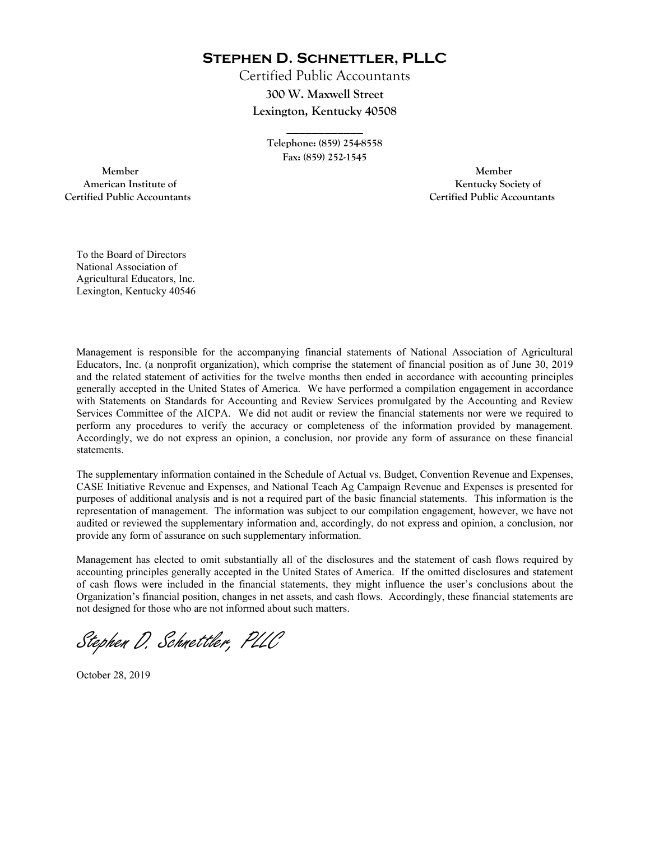**Stephen D. Schnettler, PLLC**

Certified Public Accountants **300 W. Maxwell Street Lexington, Kentucky 40508** 

> **Telephone: (859) 254-8558 Fax: (859) 252-1545**

**\_\_\_\_\_\_\_\_\_\_\_\_** 

 **Member Member Certified Public Accountants Certified Public Accountants** 

American Institute of **Kentucky Society of** 

To the Board of Directors National Association of Agricultural Educators, Inc. Lexington, Kentucky 40546

Management is responsible for the accompanying financial statements of National Association of Agricultural Educators, Inc. (a nonprofit organization), which comprise the statement of financial position as of June 30, 2019 and the related statement of activities for the twelve months then ended in accordance with accounting principles generally accepted in the United States of America. We have performed a compilation engagement in accordance with Statements on Standards for Accounting and Review Services promulgated by the Accounting and Review Services Committee of the AICPA. We did not audit or review the financial statements nor were we required to perform any procedures to verify the accuracy or completeness of the information provided by management. Accordingly, we do not express an opinion, a conclusion, nor provide any form of assurance on these financial statements.

The supplementary information contained in the Schedule of Actual vs. Budget, Convention Revenue and Expenses, CASE Initiative Revenue and Expenses, and National Teach Ag Campaign Revenue and Expenses is presented for purposes of additional analysis and is not a required part of the basic financial statements. This information is the representation of management. The information was subject to our compilation engagement, however, we have not audited or reviewed the supplementary information and, accordingly, do not express and opinion, a conclusion, nor provide any form of assurance on such supplementary information.

Management has elected to omit substantially all of the disclosures and the statement of cash flows required by accounting principles generally accepted in the United States of America. If the omitted disclosures and statement of cash flows were included in the financial statements, they might influence the user's conclusions about the Organization's financial position, changes in net assets, and cash flows. Accordingly, these financial statements are not designed for those who are not informed about such matters.

Stephen D. Schnettler, PLLC

October 28, 2019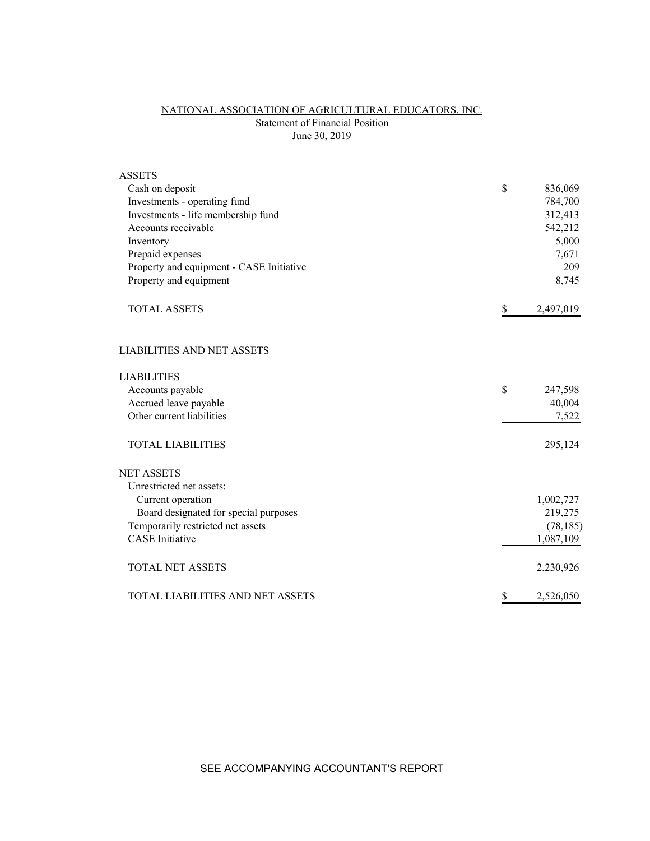# NATIONAL ASSOCIATION OF AGRICULTURAL EDUCATORS, INC. Statement of Financial Position June 30, 2019

| <b>ASSETS</b>                            |                 |
|------------------------------------------|-----------------|
| Cash on deposit                          | \$<br>836,069   |
| Investments - operating fund             | 784,700         |
| Investments - life membership fund       | 312,413         |
| Accounts receivable                      | 542,212         |
| Inventory                                | 5,000           |
| Prepaid expenses                         | 7,671           |
| Property and equipment - CASE Initiative | 209             |
| Property and equipment                   | 8,745           |
| <b>TOTAL ASSETS</b>                      | \$<br>2,497,019 |
| <b>LIABILITIES AND NET ASSETS</b>        |                 |
| <b>LIABILITIES</b>                       |                 |
| Accounts payable                         | \$<br>247,598   |
| Accrued leave payable                    | 40,004          |
| Other current liabilities                | 7,522           |
| <b>TOTAL LIABILITIES</b>                 | 295,124         |
| <b>NET ASSETS</b>                        |                 |
| Unrestricted net assets:                 |                 |
| Current operation                        | 1,002,727       |
| Board designated for special purposes    | 219,275         |
| Temporarily restricted net assets        | (78, 185)       |
| <b>CASE</b> Initiative                   | 1,087,109       |
| <b>TOTAL NET ASSETS</b>                  | 2,230,926       |
| <b>TOTAL LIABILITIES AND NET ASSETS</b>  | \$<br>2,526,050 |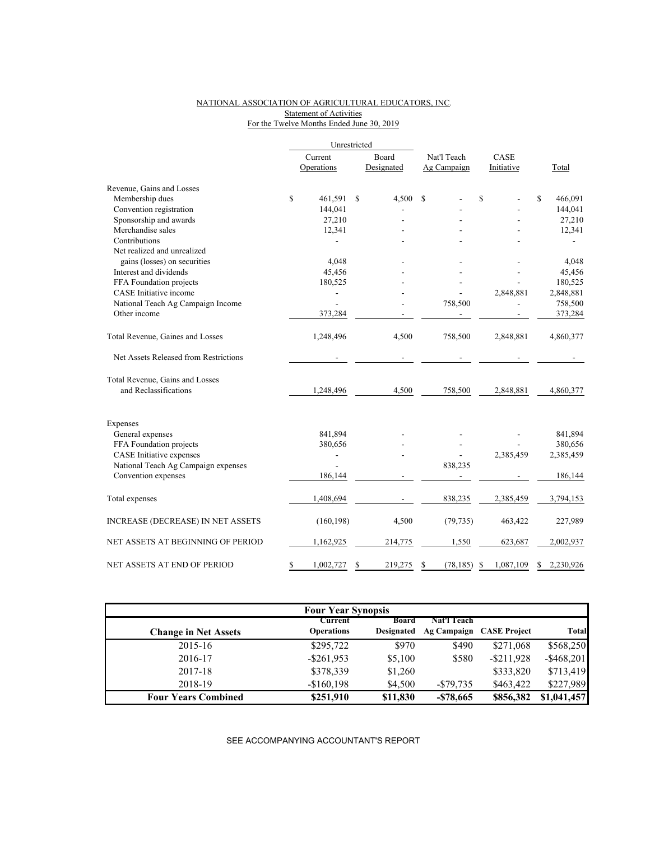# NATIONAL ASSOCIATION OF AGRICULTURAL EDUCATORS, INC. Statement of Activities For the Twelve Months Ended June 30, 2019

|                                          |                 | Unrestricted  |                 |                |                |
|------------------------------------------|-----------------|---------------|-----------------|----------------|----------------|
|                                          | Current         | Board         | Nat'l Teach     | CASE           |                |
|                                          | Operations      | Designated    | Ag Campaign     | Initiative     | Total          |
| Revenue, Gains and Losses                |                 |               |                 |                |                |
| Membership dues                          | \$<br>461,591   | 4,500<br>\$   | \$              | \$             | \$<br>466,091  |
| Convention registration                  | 144,041         |               |                 |                | 144,041        |
| Sponsorship and awards                   | 27,210          |               |                 |                | 27,210         |
| Merchandise sales                        | 12,341          |               |                 |                | 12,341         |
| Contributions                            |                 |               |                 |                |                |
| Net realized and unrealized              |                 |               |                 |                |                |
| gains (losses) on securities             | 4,048           |               |                 |                | 4,048          |
| Interest and dividends                   | 45,456          |               |                 |                | 45,456         |
| FFA Foundation projects                  | 180,525         |               |                 |                | 180,525        |
| CASE Initiative income                   |                 |               |                 | 2,848,881      | 2,848,881      |
| National Teach Ag Campaign Income        | $\overline{a}$  |               | 758,500         |                | 758,500        |
| Other income                             | 373,284         |               |                 |                | 373,284        |
| Total Revenue, Gaines and Losses         | 1,248,496       | 4,500         | 758,500         | 2,848,881      | 4,860,377      |
| Net Assets Released from Restrictions    |                 |               |                 |                |                |
| Total Revenue, Gains and Losses          |                 |               |                 |                |                |
| and Reclassifications                    | 1,248,496       | 4,500         | 758,500         | 2,848,881      | 4,860,377      |
| Expenses                                 |                 |               |                 |                |                |
| General expenses                         | 841,894         |               |                 |                | 841,894        |
| FFA Foundation projects                  | 380,656         |               |                 |                | 380,656        |
| CASE Initiative expenses                 |                 |               |                 | 2,385,459      | 2,385,459      |
| National Teach Ag Campaign expenses      |                 |               | 838,235         |                |                |
| Convention expenses                      | 186,144         |               |                 |                | 186,144        |
| Total expenses                           | 1,408,694       |               | 838,235         | 2,385,459      | 3,794,153      |
| <b>INCREASE (DECREASE) IN NET ASSETS</b> | (160, 198)      | 4,500         | (79, 735)       | 463,422        | 227,989        |
| NET ASSETS AT BEGINNING OF PERIOD        | 1,162,925       | 214,775       | 1,550           | 623,687        | 2,002,937      |
| NET ASSETS AT END OF PERIOD              | \$<br>1,002,727 | \$<br>219,275 | \$<br>(78, 185) | 1,087,109<br>S | S<br>2,230,926 |

| <b>Four Year Synopsis</b>   |                                     |                            |              |                          |               |  |  |  |  |  |
|-----------------------------|-------------------------------------|----------------------------|--------------|--------------------------|---------------|--|--|--|--|--|
| <b>Change in Net Assets</b> | <b>Current</b><br><b>Operations</b> | <b>Board</b><br>Designated | Nat'l Teach  | Ag Campaign CASE Project | <b>Total</b>  |  |  |  |  |  |
| 2015-16                     | \$295,722                           | \$970                      | \$490        | \$271,068                | \$568,250     |  |  |  |  |  |
| 2016-17                     | $-$ \$261,953                       | \$5,100                    | \$580        | $-$ \$211,928            | $-$ \$468,201 |  |  |  |  |  |
| 2017-18                     | \$378,339                           | \$1,260                    |              | \$333,820                | \$713,419     |  |  |  |  |  |
| 2018-19                     | $-$160,198$                         | \$4,500                    | $-$ \$79,735 | \$463,422                | \$227,989     |  |  |  |  |  |
| <b>Four Years Combined</b>  | \$251,910                           | \$11,830                   | $-$ \$78,665 | \$856,382                | \$1,041,457   |  |  |  |  |  |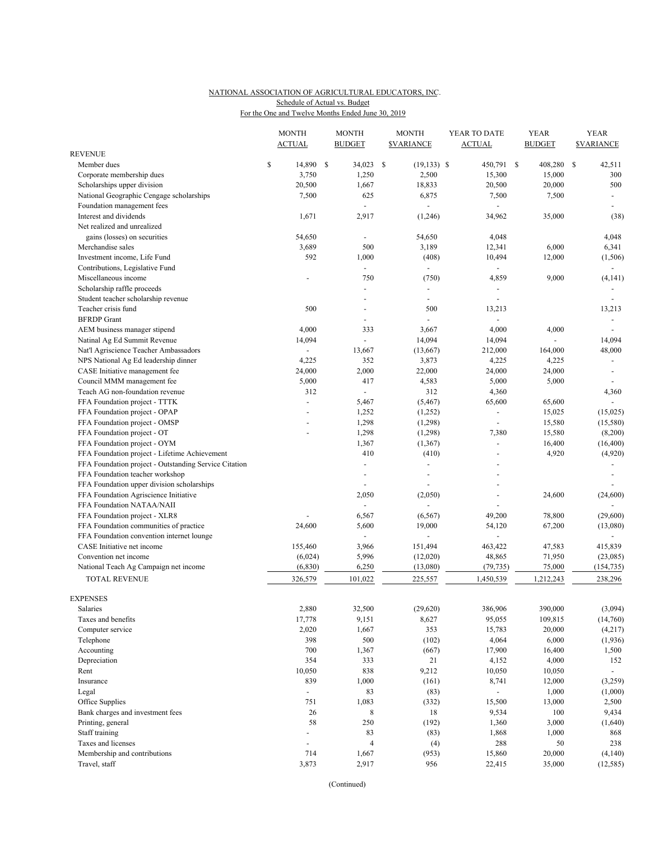# NATIONAL ASSOCIATION OF AGRICULTURAL EDUCATORS, INC. For the One and Twelve Months Ended June 30, 2019 Schedule of Actual vs. Budget

|                                                       |    | <b>MONTH</b><br><b>ACTUAL</b> |  | <b>MONTH</b><br><b>BUDGET</b> |    | <b>MONTH</b><br><b>SVARIANCE</b> | YEAR TO DATE<br><b>ACTUAL</b> |                             |  | <b>YEAR</b><br><b>BUDGET</b> | <b>YEAR</b><br><b><i>SVARIANCE</i></b> |                            |
|-------------------------------------------------------|----|-------------------------------|--|-------------------------------|----|----------------------------------|-------------------------------|-----------------------------|--|------------------------------|----------------------------------------|----------------------------|
| <b>REVENUE</b>                                        |    |                               |  |                               |    |                                  |                               |                             |  |                              |                                        |                            |
| Member dues                                           | \$ | 14,890 \$                     |  | 34,023                        | -S | $(19, 133)$ \$                   |                               | 450,791 \$                  |  | 408,280                      | <sup>\$</sup>                          | 42,511                     |
| Corporate membership dues                             |    | 3,750                         |  | 1,250                         |    | 2,500                            |                               | 15,300                      |  | 15,000                       |                                        | 300                        |
| Scholarships upper division                           |    | 20,500                        |  | 1,667                         |    | 18,833                           |                               | 20,500                      |  | 20,000                       |                                        | 500                        |
| National Geographic Cengage scholarships              |    | 7,500                         |  | 625                           |    | 6,875                            |                               | 7,500                       |  | 7,500                        |                                        | $\blacksquare$             |
| Foundation management fees                            |    |                               |  |                               |    | $\overline{a}$                   |                               |                             |  |                              |                                        | $\blacksquare$             |
| Interest and dividends                                |    | 1,671                         |  | 2,917                         |    | (1,246)                          |                               | 34,962                      |  | 35,000                       |                                        | (38)                       |
| Net realized and unrealized                           |    |                               |  |                               |    |                                  |                               |                             |  |                              |                                        |                            |
| gains (losses) on securities                          |    | 54,650                        |  |                               |    | 54,650                           |                               | 4,048                       |  |                              |                                        | 4,048                      |
| Merchandise sales                                     |    | 3,689                         |  | 500                           |    | 3,189                            |                               | 12,341                      |  | 6,000                        |                                        | 6,341                      |
| Investment income, Life Fund                          |    | 592                           |  | 1,000                         |    |                                  |                               |                             |  | 12,000                       |                                        |                            |
|                                                       |    |                               |  | $\blacksquare$                |    | (408)<br>÷,                      |                               | 10,494                      |  |                              |                                        | (1, 506)<br>$\blacksquare$ |
| Contributions, Legislative Fund                       |    | ÷,                            |  |                               |    |                                  |                               |                             |  |                              |                                        | (4, 141)                   |
| Miscellaneous income                                  |    |                               |  | 750                           |    | (750)                            |                               | 4,859                       |  | 9,000                        |                                        |                            |
| Scholarship raffle proceeds                           |    |                               |  |                               |    |                                  |                               |                             |  |                              |                                        |                            |
| Student teacher scholarship revenue                   |    |                               |  |                               |    | ÷,                               |                               |                             |  |                              |                                        |                            |
| Teacher crisis fund                                   |    | 500                           |  | $\overline{\phantom{a}}$      |    | 500                              |                               | 13,213                      |  |                              |                                        | 13,213                     |
| <b>BFRDP</b> Grant                                    |    |                               |  |                               |    |                                  |                               |                             |  |                              |                                        |                            |
| AEM business manager stipend                          |    | 4,000                         |  | 333                           |    | 3,667                            |                               | 4,000                       |  | 4,000                        |                                        |                            |
| Natinal Ag Ed Summit Revenue                          |    | 14,094                        |  | $\blacksquare$                |    | 14,094                           |                               | 14,094                      |  |                              |                                        | 14,094                     |
| Nat'l Agriscience Teacher Ambassadors                 |    | $\overline{\phantom{a}}$      |  | 13,667                        |    | (13,667)                         |                               | 212,000                     |  | 164,000                      |                                        | 48,000                     |
| NPS National Ag Ed leadership dinner                  |    | 4,225                         |  | 352                           |    | 3,873                            |                               | 4,225                       |  | 4,225                        |                                        |                            |
| CASE Initiative management fee                        |    | 24,000                        |  | 2,000                         |    | 22,000                           |                               | 24,000                      |  | 24,000                       |                                        | $\sim$                     |
| Council MMM management fee                            |    | 5,000                         |  | 417                           |    | 4,583                            |                               | 5,000                       |  | 5,000                        |                                        |                            |
| Teach AG non-foundation revenue                       |    | 312                           |  | $\blacksquare$                |    | 312                              |                               | 4,360                       |  |                              |                                        | 4,360                      |
| FFA Foundation project - TTTK                         |    | ÷,                            |  | 5,467                         |    | (5, 467)                         |                               | 65,600                      |  | 65,600                       |                                        |                            |
| FFA Foundation project - OPAP                         |    |                               |  | 1,252                         |    | (1,252)                          |                               | $\blacksquare$              |  | 15,025                       |                                        | (15, 025)                  |
| FFA Foundation project - OMSP                         |    |                               |  | 1,298                         |    | (1,298)                          |                               |                             |  | 15,580                       |                                        | (15, 580)                  |
| FFA Foundation project - OT                           |    |                               |  | 1,298                         |    | (1,298)                          |                               | 7,380                       |  | 15,580                       |                                        | (8,200)                    |
| FFA Foundation project - OYM                          |    |                               |  | 1,367                         |    | (1,367)                          |                               |                             |  | 16,400                       |                                        | (16, 400)                  |
| FFA Foundation project - Lifetime Achievement         |    |                               |  | 410                           |    | (410)                            |                               |                             |  | 4,920                        |                                        | (4,920)                    |
| FFA Foundation project - Outstanding Service Citation |    |                               |  | $\sim$                        |    |                                  |                               |                             |  |                              |                                        |                            |
| FFA Foundation teacher workshop                       |    |                               |  | $\overline{a}$                |    | ÷,                               |                               |                             |  |                              |                                        |                            |
| FFA Foundation upper division scholarships            |    |                               |  |                               |    |                                  |                               |                             |  |                              |                                        |                            |
| FFA Foundation Agriscience Initiative                 |    |                               |  | 2,050                         |    | (2,050)                          |                               |                             |  | 24,600                       |                                        | (24, 600)                  |
| FFA Foundation NATAA/NAII                             |    |                               |  |                               |    |                                  |                               |                             |  |                              |                                        |                            |
| FFA Foundation project - XLR8                         |    |                               |  | 6,567                         |    | (6, 567)                         |                               | 49,200                      |  | 78,800                       |                                        | (29,600)                   |
| FFA Foundation communities of practice                |    | 24,600                        |  | 5,600                         |    | 19,000                           |                               | 54,120                      |  | 67,200                       |                                        | (13,080)                   |
| FFA Foundation convention internet lounge             |    |                               |  | $\blacksquare$                |    |                                  |                               |                             |  |                              |                                        |                            |
| CASE Initiative net income                            |    | 155,460                       |  | 3,966                         |    | 151,494                          |                               | 463,422                     |  | 47,583                       |                                        | 415,839                    |
| Convention net income                                 |    | (6,024)                       |  | 5,996                         |    | (12,020)                         |                               | 48,865                      |  | 71,950                       |                                        | (23,085)                   |
| National Teach Ag Campaign net income                 |    | (6, 830)                      |  | 6,250                         |    | (13,080)                         |                               | (79, 735)                   |  | 75,000                       |                                        | (154, 735)                 |
|                                                       |    |                               |  |                               |    |                                  |                               |                             |  |                              |                                        |                            |
| <b>TOTAL REVENUE</b>                                  |    | 326,579                       |  | 101,022                       |    | 225,557                          |                               | 1,450,539                   |  | 1,212,243                    |                                        | 238,296                    |
|                                                       |    |                               |  |                               |    |                                  |                               |                             |  |                              |                                        |                            |
| <b>EXPENSES</b>                                       |    |                               |  |                               |    |                                  |                               |                             |  |                              |                                        |                            |
| Salaries                                              |    | 2,880                         |  | 32,500                        |    | (29,620)                         |                               | 386,906                     |  | 390,000                      |                                        | (3,094)                    |
| Taxes and benefits                                    |    | 17,778                        |  | 9,151                         |    | 8,627                            |                               | 95,055                      |  | 109,815                      |                                        | (14,760)                   |
| Computer service                                      |    | 2,020                         |  | 1,667                         |    | 353                              |                               | 15,783                      |  | 20,000                       |                                        | (4,217)                    |
| Telephone                                             |    | 398                           |  | 500                           |    | (102)                            |                               | 4,064                       |  | 6,000                        |                                        | (1, 936)                   |
| Accounting                                            |    | 700                           |  | 1,367                         |    | (667)                            |                               | 17,900                      |  | 16,400                       |                                        | 1,500                      |
| Depreciation                                          |    | 354                           |  | 333                           |    | 21                               |                               | 4,152                       |  | 4,000                        |                                        | 152                        |
| Rent                                                  |    | 10,050                        |  | 838                           |    | 9,212                            |                               | 10,050                      |  | 10,050                       |                                        | $\omega_{\rm c}$           |
| Insurance                                             |    | 839                           |  | 1,000                         |    | (161)                            |                               | 8,741                       |  | 12,000                       |                                        | (3,259)                    |
| Legal                                                 |    | $\overline{\phantom{a}}$      |  | 83                            |    | (83)                             |                               | $\mathcal{L}_{\mathcal{A}}$ |  | 1,000                        |                                        | (1,000)                    |
| Office Supplies                                       |    | 751                           |  | 1,083                         |    | (332)                            |                               | 15,500                      |  | 13,000                       |                                        | 2,500                      |
| Bank charges and investment fees                      |    | 26                            |  | $\,8\,$                       |    | 18                               |                               | 9,534                       |  | 100                          |                                        | 9,434                      |
| Printing, general                                     |    | 58                            |  | 250                           |    | (192)                            |                               | 1,360                       |  | 3,000                        |                                        | (1,640)                    |
| Staff training                                        |    | $\blacksquare$                |  | 83                            |    | (83)                             |                               | 1,868                       |  | 1,000                        |                                        | 868                        |
| Taxes and licenses                                    |    | $\overline{\phantom{a}}$      |  | $\overline{4}$                |    | (4)                              |                               | 288                         |  | 50                           |                                        | 238                        |
| Membership and contributions                          |    | 714                           |  | 1,667                         |    | (953)                            |                               | 15,860                      |  | 20,000                       |                                        | (4,140)                    |
| Travel, staff                                         |    | 3,873                         |  | 2,917                         |    | 956                              |                               | 22,415                      |  | 35,000                       |                                        | (12, 585)                  |

(Continued)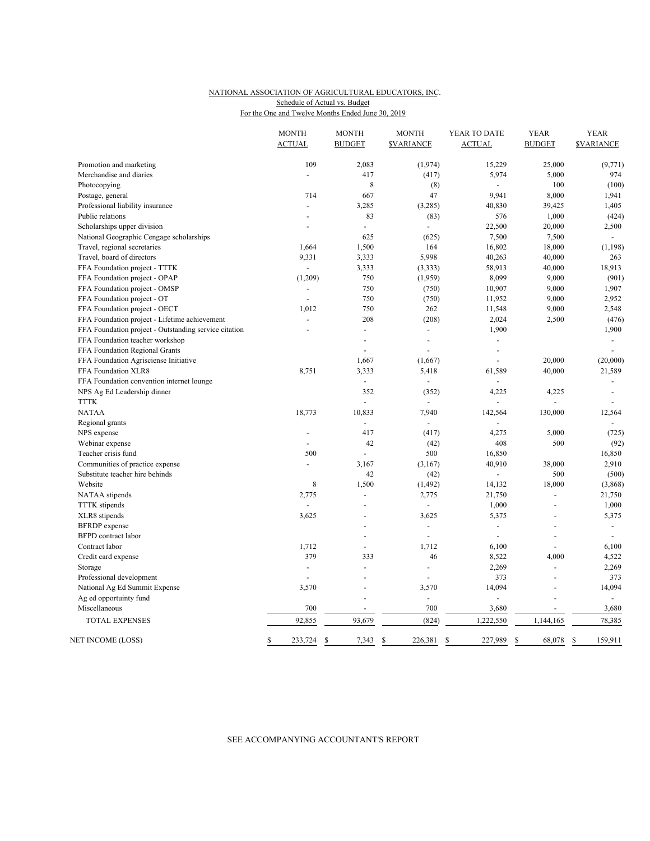# NATIONAL ASSOCIATION OF AGRICULTURAL EDUCATORS, INC. For the One and Twelve Months Ended June 30, 2019 Schedule of Actual vs. Budget

|                                                       | <b>MONTH</b><br><b>ACTUAL</b> | <b>MONTH</b><br><b>BUDGET</b> | <b>MONTH</b><br><b>SVARIANCE</b> | YEAR TO DATE<br><b>ACTUAL</b> | <b>YEAR</b><br><b>BUDGET</b> | <b>YEAR</b><br><b>SVARIANCE</b> |
|-------------------------------------------------------|-------------------------------|-------------------------------|----------------------------------|-------------------------------|------------------------------|---------------------------------|
| Promotion and marketing                               | 109                           | 2,083                         | (1, 974)                         | 15,229                        | 25,000                       | (9,771)                         |
| Merchandise and diaries                               |                               | 417                           | (417)                            | 5,974                         | 5,000                        | 974                             |
| Photocopying                                          |                               | 8                             | (8)                              | $\Box$                        | 100                          | (100)                           |
| Postage, general                                      | 714                           | 667                           | 47                               | 9,941                         | 8,000                        | 1,941                           |
| Professional liability insurance                      | $\blacksquare$                | 3,285                         | (3,285)                          | 40,830                        | 39,425                       | 1,405                           |
| Public relations                                      |                               | 83                            | (83)                             | 576                           | 1,000                        | (424)                           |
| Scholarships upper division                           | ÷,                            | $\overline{\phantom{a}}$      | $\overline{a}$                   | 22,500                        | 20,000                       | 2,500                           |
| National Geographic Cengage scholarships              |                               | 625                           | (625)                            | 7,500                         | 7,500                        | $\overline{a}$                  |
| Travel, regional secretaries                          | 1,664                         | 1,500                         | 164                              | 16,802                        | 18,000                       | (1, 198)                        |
| Travel, board of directors                            | 9,331                         | 3,333                         | 5,998                            | 40,263                        | 40,000                       | 263                             |
| FFA Foundation project - TTTK                         | $\overline{\phantom{a}}$      | 3,333                         | (3, 333)                         | 58,913                        | 40,000                       | 18,913                          |
| FFA Foundation project - OPAP                         | (1,209)                       | 750                           | (1,959)                          | 8,099                         | 9,000                        | (901)                           |
| FFA Foundation project - OMSP                         |                               | 750                           | (750)                            | 10,907                        | 9,000                        | 1,907                           |
| FFA Foundation project - OT                           | $\overline{a}$                | 750                           | (750)                            | 11,952                        | 9,000                        | 2,952                           |
| FFA Foundation project - OECT                         | 1,012                         | 750                           | 262                              | 11,548                        | 9,000                        | 2,548                           |
| FFA Foundation project - Lifetime achievement         | $\overline{a}$                | 208                           | (208)                            | 2,024                         | 2,500                        | (476)                           |
| FFA Foundation project - Outstanding service citation |                               | $\overline{a}$                | $\overline{a}$                   | 1,900                         |                              | 1,900                           |
| FFA Foundation teacher workshop                       |                               |                               | Ĭ.                               |                               |                              |                                 |
| FFA Foundation Regional Grants                        |                               |                               |                                  |                               |                              |                                 |
| FFA Foundation Agrisciense Initiative                 |                               | 1,667                         | (1,667)                          | ÷,                            | 20,000                       | (20,000)                        |
| FFA Foundation XLR8                                   | 8,751                         | 3,333                         | 5,418                            | 61,589                        | 40,000                       | 21,589                          |
| FFA Foundation convention internet lounge             |                               | $\blacksquare$                | $\overline{\phantom{a}}$         | $\overline{a}$                |                              | $\blacksquare$                  |
| NPS Ag Ed Leadership dinner                           |                               | 352                           | (352)                            | 4,225                         | 4,225                        | $\sim$                          |
| <b>TTTK</b>                                           |                               |                               |                                  |                               |                              | $\sim$                          |
| <b>NATAA</b>                                          | 18,773                        | 10,833                        | 7,940                            | 142,564                       | 130,000                      | 12,564                          |
| Regional grants                                       |                               | $\overline{\phantom{a}}$      | $\overline{a}$                   |                               |                              |                                 |
| NPS expense                                           |                               | 417                           | (417)                            | 4,275                         | 5,000                        | (725)                           |
| Webinar expense                                       | $\overline{a}$                | 42                            | (42)                             | 408                           | 500                          | (92)                            |
| Teacher crisis fund                                   | 500                           | $\overline{a}$                | 500                              | 16,850                        |                              | 16,850                          |
| Communities of practice expense                       | $\overline{\phantom{a}}$      | 3,167                         | (3,167)                          | 40,910                        | 38,000                       | 2,910                           |
| Substitute teacher hire behinds                       |                               | 42                            | (42)                             | ÷,                            | 500                          | (500)                           |
| Website                                               | 8                             | 1,500                         | (1, 492)                         | 14,132                        | 18,000                       | (3,868)                         |
| NATAA stipends                                        | 2,775                         | $\overline{\phantom{a}}$      | 2,775                            | 21,750                        | $\overline{a}$               | 21,750                          |
| <b>TTTK</b> stipends                                  |                               | $\overline{\phantom{a}}$      | $\overline{a}$                   | 1,000                         | $\overline{\phantom{a}}$     | 1,000                           |
| XLR8 stipends                                         | 3,625                         | $\overline{\phantom{a}}$      | 3,625                            | 5,375                         |                              | 5,375                           |
| <b>BFRDP</b> expense                                  |                               | $\overline{\phantom{a}}$      | $\overline{a}$                   | $\overline{\phantom{a}}$      | ÷                            | $\overline{\phantom{a}}$        |
| <b>BFPD</b> contract labor                            |                               | ۳                             | ÷,                               | $\overline{a}$                | $\overline{a}$               | $\blacksquare$                  |
| Contract labor                                        | 1,712                         | $\sim$                        | 1,712                            | 6,100                         | ÷,                           | 6,100                           |
| Credit card expense                                   | 379                           | 333                           | 46                               | 8,522                         | 4,000                        | 4,522                           |
| Storage                                               | $\sim$                        | $\overline{a}$                | ÷,                               | 2,269                         | $\overline{\phantom{a}}$     | 2,269                           |
| Professional development                              |                               |                               |                                  | 373                           |                              | 373                             |
| National Ag Ed Summit Expense                         | 3,570                         | L.                            | 3,570                            | 14,094                        | L.                           | 14,094                          |
| Ag ed opportuinty fund                                |                               |                               | $\blacksquare$                   |                               |                              | $\blacksquare$                  |
| Miscellaneous                                         | 700                           |                               | 700                              | 3,680                         |                              | 3,680                           |
| <b>TOTAL EXPENSES</b>                                 | 92,855                        | 93,679                        | (824)                            | 1,222,550                     | 1,144,165                    | 78,385                          |
| NET INCOME (LOSS)                                     | \$<br>233,724                 | 7,343<br>\$                   | \$<br>226,381                    | \$<br>227,989                 | 68,078<br>\$                 | 159,911<br>\$                   |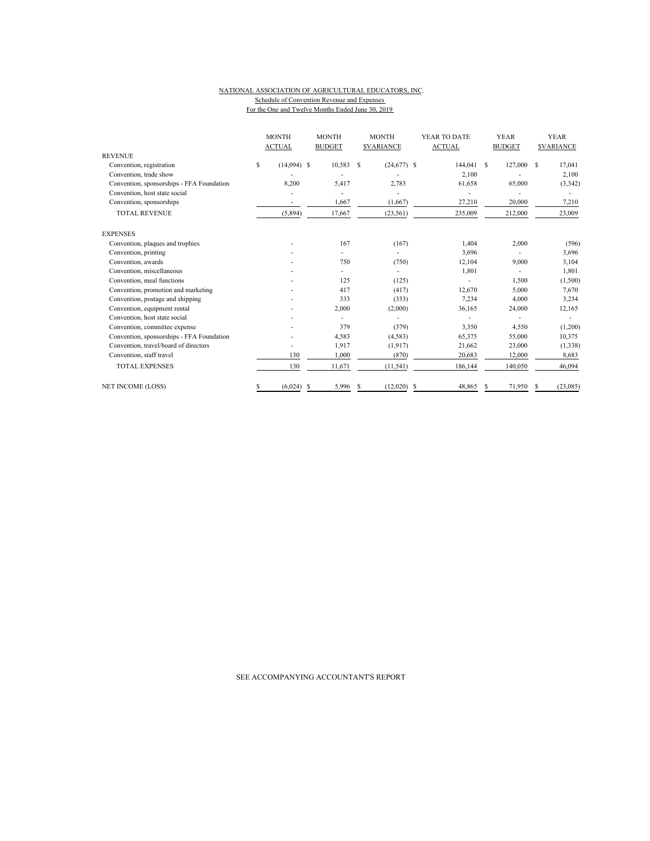#### NATIONAL ASSOCIATION OF AGRICULTURAL EDUCATORS, INC. Schedule of Convention Revenue and Expenses For the One and Twelve Months Ended June 30, 2019

| <b>REVENUE</b>                            |    | <b>MONTH</b><br><b>ACTUAL</b> |   | <b>MONTH</b><br><b>BUDGET</b> |   | <b>MONTH</b><br><b><i>SVARIANCE</i></b> |    | YEAR TO DATE<br><b>ACTUAL</b> | <b>YEAR</b><br><b>BUDGET</b> |         |    | <b>YEAR</b><br><b>SVARIANCE</b> |
|-------------------------------------------|----|-------------------------------|---|-------------------------------|---|-----------------------------------------|----|-------------------------------|------------------------------|---------|----|---------------------------------|
| Convention, registration                  | \$ | $(14,094)$ \$                 |   | 10,583                        | S | $(24,677)$ \$                           |    | 144,041                       | $\mathcal{S}$                | 127,000 | S. | 17,041                          |
| Convention, trade show                    |    |                               |   |                               |   |                                         |    | 2.100                         |                              |         |    |                                 |
| Convention, sponsorships - FFA Foundation |    | 8,200                         |   | 5,417                         |   | 2,783                                   |    | 61,658                        |                              | 65,000  |    | 2,100                           |
|                                           |    |                               |   |                               |   |                                         |    |                               |                              |         |    | (3,342)                         |
| Convention, host state social             |    |                               |   |                               |   |                                         |    |                               |                              |         |    |                                 |
| Convention, sponsorships                  |    | $\overline{\phantom{a}}$      |   | 1,667                         |   | (1,667)                                 |    | 27,210                        |                              | 20,000  |    | 7,210                           |
| <b>TOTAL REVENUE</b>                      |    | (5,894)                       |   | 17,667                        |   | (23, 561)                               |    | 235,009                       |                              | 212,000 |    | 23,009                          |
| <b>EXPENSES</b>                           |    |                               |   |                               |   |                                         |    |                               |                              |         |    |                                 |
| Convention, plaques and trophies          |    |                               |   | 167                           |   | (167)                                   |    | 1,404                         |                              | 2,000   |    | (596)                           |
| Convention, printing                      |    |                               |   |                               |   |                                         |    | 3,696                         |                              |         |    | 3,696                           |
| Convention, awards                        |    |                               |   | 750                           |   | (750)                                   |    | 12,104                        |                              | 9,000   |    | 3,104                           |
| Convention, miscellaneous                 |    |                               |   |                               |   |                                         |    | 1,801                         |                              |         |    | 1,801                           |
| Convention, meal functions                |    |                               |   | 125                           |   | (125)                                   |    |                               |                              | 1,500   |    | (1,500)                         |
| Convention, promotion and marketing       |    |                               |   | 417                           |   | (417)                                   |    | 12,670                        |                              | 5,000   |    | 7,670                           |
| Convention, postage and shipping          |    |                               |   | 333                           |   | (333)                                   |    | 7,234                         |                              | 4,000   |    | 3,234                           |
| Convention, equipment rental              |    |                               |   | 2,000                         |   | (2,000)                                 |    | 36,165                        |                              | 24,000  |    | 12,165                          |
| Convention, host state social             |    |                               |   |                               |   |                                         |    |                               |                              |         |    |                                 |
| Convention, committee expense             |    |                               |   | 379                           |   | (379)                                   |    | 3,350                         |                              | 4,550   |    | (1,200)                         |
| Convention, sponsorships - FFA Foundation |    |                               |   | 4,583                         |   | (4,583)                                 |    | 65,375                        |                              | 55,000  |    | 10,375                          |
| Convention, travel/board of directors     |    |                               |   | 1,917                         |   | (1, 917)                                |    | 21,662                        |                              | 23,000  |    | (1, 338)                        |
| Convention, staff travel                  |    | 130                           |   | 1,000                         |   | (870)                                   |    | 20,683                        |                              | 12,000  |    | 8,683                           |
| <b>TOTAL EXPENSES</b>                     |    | 130                           |   | 11,671                        |   | (11, 541)                               |    | 186,144                       |                              | 140,050 |    | 46,094                          |
| <b>NET INCOME (LOSS)</b>                  | S  | (6,024)                       | S | 5,996                         | S | (12,020)                                | -S | 48,865                        | S                            | 71,950  | s  | (23,085)                        |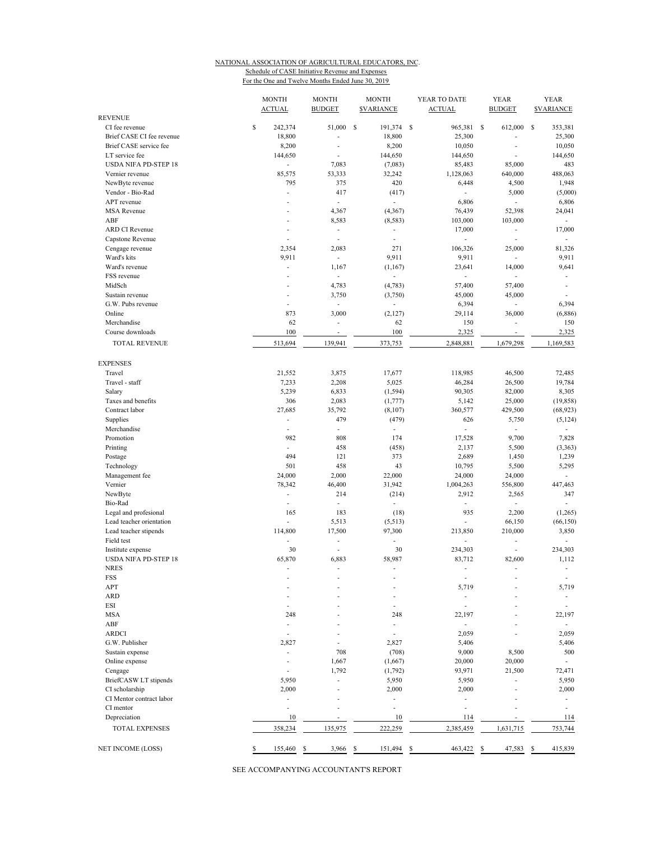### NATIONAL ASSOCIATION OF AGRICULTURAL EDUCATORS, INC. Schedule of CASE Initiative Revenue and Expenses

For the One and Twelve Months Ended June 30, 2019

| <b>REVENUE</b>               |               | <b>MONTH</b><br><b>ACTUAL</b> | <b>MONTH</b><br><b>BUDGET</b> | <b>MONTH</b><br><b><i>SVARIANCE</i></b> | YEAR TO DATE<br><b>ACTUAL</b> | <b>YEAR</b><br><b>BUDGET</b>      | <b>YEAR</b><br><b><i>SVARIANCE</i></b> |
|------------------------------|---------------|-------------------------------|-------------------------------|-----------------------------------------|-------------------------------|-----------------------------------|----------------------------------------|
| CI fee revenue               | \$            | 242,374                       | 51,000 \$                     | 191,374 \$                              | 965,381 \$                    | 612,000                           | $\mathbf{s}$<br>353,381                |
| Brief CASE CI fee revenue    |               | 18,800                        | Ĭ.                            | 18,800                                  | 25,300                        |                                   | 25,300                                 |
| Brief CASE service fee       |               | 8,200                         | ÷,                            | 8,200                                   | 10,050                        |                                   | 10,050                                 |
| LT service fee               |               | 144,650                       | ÷,                            | 144,650                                 | 144,650                       |                                   | 144,650                                |
| <b>USDA NIFA PD-STEP 18</b>  |               | ÷.                            | 7,083                         | (7,083)                                 | 85,483                        | 85,000                            | 483                                    |
| Vernier revenue              |               | 85,575                        | 53,333                        | 32,242                                  | 1,128,063                     | 640,000                           | 488,063                                |
| NewByte revenue              |               | 795                           | 375                           | 420                                     | 6,448                         | 4,500                             | 1,948                                  |
| Vendor - Bio-Rad             |               | ÷,                            | 417                           | (417)                                   |                               | 5,000                             | (5,000)                                |
| APT revenue                  |               | ÷                             | ÷                             | $\overline{\phantom{a}}$                | 6,806                         | $\overline{\phantom{a}}$          | 6,806                                  |
| <b>MSA</b> Revenue           |               | ٠                             | 4,367                         | (4, 367)                                | 76,439                        | 52,398                            | 24,041                                 |
| ABF                          |               | ä,                            | 8,583                         | (8, 583)                                | 103,000                       | 103,000                           | $\overline{\phantom{a}}$               |
| <b>ARD CI Revenue</b>        |               | ÷,                            | $\blacksquare$                | $\blacksquare$                          | 17,000                        | $\blacksquare$                    | 17,000                                 |
| Capstone Revenue             |               | ÷,                            | ÷,                            | $\blacksquare$                          | $\frac{1}{2}$                 | $\blacksquare$                    | $\overline{\phantom{a}}$               |
| Cengage revenue              |               | 2,354                         | 2,083                         | 271                                     | 106,326                       | 25,000                            | 81,326                                 |
| Ward's kits                  |               | 9,911                         | $\overline{\phantom{a}}$      | 9,911                                   | 9,911                         | $\overline{\phantom{a}}$          | 9,911                                  |
| Ward's revenue               |               | ÷,                            | 1,167                         | (1, 167)                                | 23,641                        | 14,000                            | 9,641                                  |
| FSS revenue                  |               | ٠                             | $\overline{\phantom{a}}$      | ä,                                      | $\overline{\phantom{a}}$      | $\overline{\phantom{a}}$          | ÷                                      |
| MidSch                       |               |                               | 4,783                         | (4, 783)                                | 57,400                        | 57,400                            | ÷,                                     |
| Sustain revenue              |               | ä,                            | 3,750                         | (3,750)                                 | 45,000                        | 45,000                            | $\overline{\phantom{a}}$               |
| G.W. Pubs revenue            |               | ä,                            | $\overline{\phantom{a}}$      | ä,                                      | 6,394                         | $\overline{\phantom{a}}$          | 6,394                                  |
| Online                       |               | 873                           | 3,000                         | (2,127)                                 | 29,114                        | 36,000                            | (6,886)                                |
| Merchandise                  |               | 62                            | $\overline{\phantom{a}}$      | 62                                      | 150                           | $\overline{\phantom{a}}$          | 150                                    |
| Course downloads             |               | 100                           | ÷,                            | 100                                     | 2,325                         | $\overline{\phantom{a}}$          | 2,325                                  |
| <b>TOTAL REVENUE</b>         |               | 513,694                       | 139,941                       | 373,753                                 | 2,848,881                     | 1,679,298                         | 1,169,583                              |
| <b>EXPENSES</b>              |               |                               |                               |                                         |                               |                                   |                                        |
| Travel                       |               | 21,552                        | 3,875                         | 17,677                                  | 118,985                       | 46,500                            | 72,485                                 |
| Travel - staff               |               | 7,233                         | 2,208                         | 5,025                                   | 46,284                        | 26,500                            | 19,784                                 |
| Salary<br>Taxes and benefits |               | 5,239<br>306                  | 6,833                         | (1, 594)<br>(1,777)                     | 90,305                        | 82,000                            | 8,305                                  |
| Contract labor               |               | 27,685                        | 2,083<br>35,792               | (8, 107)                                | 5,142<br>360,577              | 25,000<br>429,500                 | (19, 858)<br>(68, 923)                 |
| Supplies                     |               | ÷                             | 479                           |                                         | 626                           |                                   |                                        |
| Merchandise                  |               | ÷,                            | ÷,                            | (479)<br>$\overline{\phantom{a}}$       | $\frac{1}{2}$                 | 5,750<br>$\overline{\phantom{a}}$ | (5, 124)<br>÷                          |
| Promotion                    |               | 982                           | 808                           | 174                                     | 17,528                        | 9,700                             | 7,828                                  |
| Printing                     |               | ÷,                            | 458                           | (458)                                   | 2,137                         | 5,500                             | (3, 363)                               |
| Postage                      |               | 494                           | 121                           | 373                                     | 2,689                         | 1,450                             | 1,239                                  |
| Technology                   |               | 501                           | 458                           | 43                                      | 10,795                        | 5,500                             | 5,295                                  |
| Management fee               |               | 24,000                        | 2,000                         | 22,000                                  | 24,000                        | 24,000                            | $\mathcal{L}$                          |
| Vernier                      |               | 78,342                        | 46,400                        | 31,942                                  | 1,004,263                     | 556,800                           | 447,463                                |
| NewByte                      |               | $\overline{\phantom{a}}$      | 214                           | (214)                                   | 2,912                         | 2,565                             | 347                                    |
| Bio-Rad                      |               | ÷,                            | $\overline{\phantom{a}}$      | $\blacksquare$                          | $\frac{1}{2}$                 | $\overline{\phantom{a}}$          | $\overline{\phantom{a}}$               |
| Legal and profesional        |               | 165                           | 183                           | (18)                                    | 935                           | 2,200                             | (1, 265)                               |
| Lead teacher orientation     |               | ÷.                            | 5,513                         | (5, 513)                                |                               | 66,150                            | (66, 150)                              |
| Lead teacher stipends        |               | 114,800                       | 17,500                        | 97,300                                  | 213,850                       | 210,000                           | 3,850                                  |
| Field test                   |               | ÷.                            | ÷                             |                                         | ÷                             | $\blacksquare$                    | $\overline{\phantom{a}}$               |
| Institute expense            |               | 30                            | ÷,                            | 30                                      | 234,303                       |                                   | 234,303                                |
| <b>USDA NIFA PD-STEP 18</b>  |               | 65,870                        | 6,883                         | 58,987                                  | 83,712                        | 82,600                            | 1,112                                  |
| <b>NRES</b>                  |               |                               | ÷                             | $\overline{a}$                          |                               |                                   | $\overline{\phantom{a}}$               |
| <b>FSS</b>                   |               |                               |                               |                                         | $\overline{a}$                |                                   | $\overline{\phantom{a}}$               |
| APT                          |               |                               |                               |                                         | 5,719                         |                                   | 5,719                                  |
| <b>ARD</b>                   |               |                               |                               |                                         | ÷,                            |                                   | $\overline{\phantom{a}}$               |
| <b>ESI</b>                   |               |                               |                               |                                         | ä,                            |                                   | $\sim$                                 |
| <b>MSA</b>                   |               | 248                           |                               | 248                                     | 22,197                        |                                   | 22,197                                 |
| ABF                          |               | ÷                             |                               | $\overline{a}$                          | ÷,                            |                                   | $\sim$                                 |
| <b>ARDCI</b>                 |               | ÷                             |                               | ÷.                                      | 2,059                         |                                   | 2,059                                  |
| G.W. Publisher               |               | 2,827                         |                               | 2,827                                   | 5,406                         |                                   | 5,406                                  |
| Sustain expense              |               | ä,                            | 708                           | (708)                                   | 9,000                         | 8,500                             | 500                                    |
| Online expense               |               |                               | 1,667                         | (1,667)                                 | 20,000                        | 20,000                            | $\mathcal{L}$                          |
| Cengage                      |               |                               | 1,792                         | (1, 792)                                | 93,971                        | 21,500                            | 72,471                                 |
| BriefCASW LT stipends        |               | 5,950                         |                               | 5,950                                   | 5,950                         |                                   | 5,950                                  |
| CI scholarship               |               | 2,000                         |                               | 2,000                                   | 2,000                         |                                   | 2,000                                  |
| CI Mentor contract labor     |               | $\overline{\phantom{a}}$      |                               |                                         | ä,                            |                                   | $\overline{\phantom{a}}$               |
| CI mentor                    |               | ٠                             |                               | $\overline{a}$                          | ä,                            |                                   | $\sim$                                 |
| Depreciation                 |               | 10                            | ÷,                            | 10                                      | 114                           |                                   | 114                                    |
| <b>TOTAL EXPENSES</b>        |               | 358,234                       | 135,975                       | 222,259                                 | 2,385,459                     | 1,631,715                         | 753,744                                |
| <b>NET INCOME (LOSS)</b>     | $\mathsf{\$}$ | 155,460                       | \$<br>3,966                   | S<br>151,494                            | S<br>463,422                  | 47,583<br>-S                      | 415,839<br>- S                         |